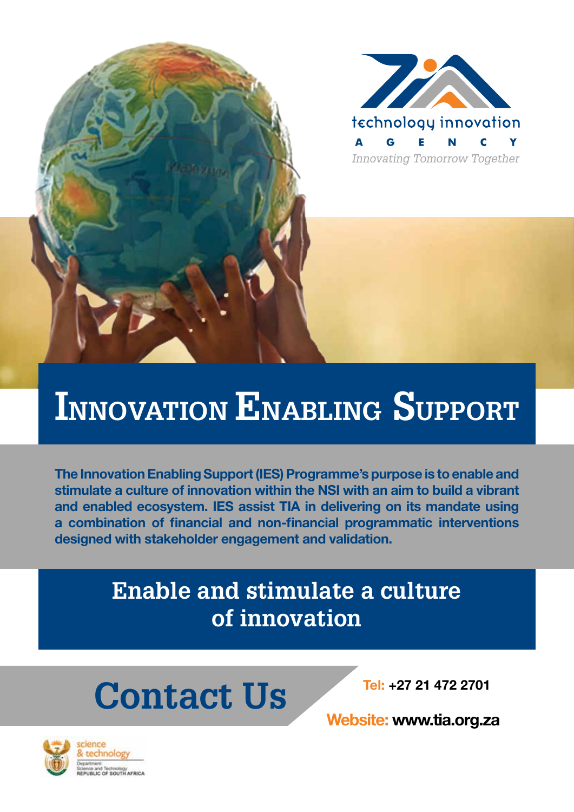

## **INNOVATION ENABLING SUPPORT**

The Innovation Enabling Support (IES) Programme's purpose is to enable and stimulate a culture of innovation within the NSI with an aim to build a vibrant and enabled ecosystem. IES assist TIA in delivering on its mandate using a combination of financial and non-financial programmatic interventions designed with stakeholder engagement and validation.

### **Enable and stimulate a culture of innovation**

# **Contact Us**

Tel: +27 21 472 2701

Website: www.tia.org.za